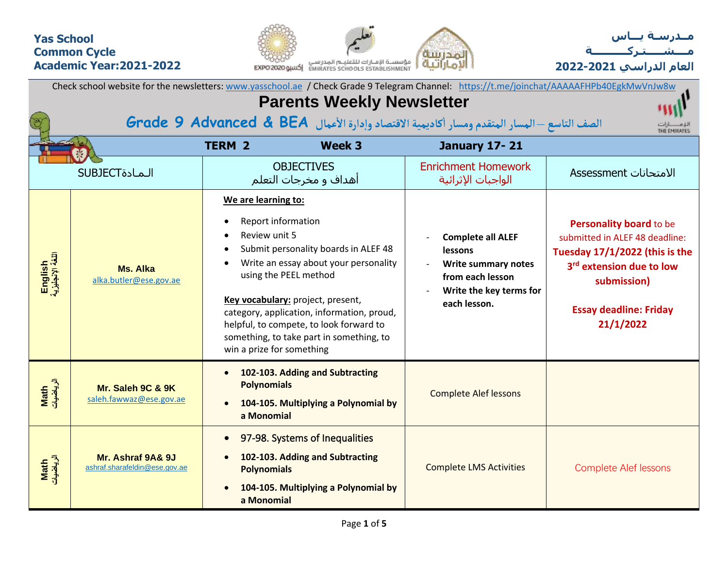### **Yas School Common Cycle Academic Year:2021-2022**





| Check school website for the newsletters: www.yasschool.ae / Check Grade 9 Telegram Channel: https://t.me/joinchat/AAAAAFHPb40EgkMwVnJw8w |                                                                                                                                 |                                                                                                |                                                                                                                                                                                                                                                                                  |                                                                                                                                  |                                                                                                                                                                                                  |  |
|-------------------------------------------------------------------------------------------------------------------------------------------|---------------------------------------------------------------------------------------------------------------------------------|------------------------------------------------------------------------------------------------|----------------------------------------------------------------------------------------------------------------------------------------------------------------------------------------------------------------------------------------------------------------------------------|----------------------------------------------------------------------------------------------------------------------------------|--------------------------------------------------------------------------------------------------------------------------------------------------------------------------------------------------|--|
| <b>Parents Weekly Newsletter</b>                                                                                                          |                                                                                                                                 |                                                                                                |                                                                                                                                                                                                                                                                                  |                                                                                                                                  |                                                                                                                                                                                                  |  |
|                                                                                                                                           | الصف التاسع — المسار المتقدم ومسار أكاديمية الاقتصاد وإدارة الأعمال Grade 9 Advanced & BEA<br>لیا هــــــــارات<br>THE EMIRATES |                                                                                                |                                                                                                                                                                                                                                                                                  |                                                                                                                                  |                                                                                                                                                                                                  |  |
|                                                                                                                                           |                                                                                                                                 | <b>TERM 2</b>                                                                                  | Week 3                                                                                                                                                                                                                                                                           | <b>January 17-21</b>                                                                                                             |                                                                                                                                                                                                  |  |
| <b>SUBJECT</b>                                                                                                                            |                                                                                                                                 |                                                                                                | <b>OBJECTIVES</b><br>أهداف و مخرجات التعلم                                                                                                                                                                                                                                       | <b>Enrichment Homework</b><br>الواجبات الإثرائية                                                                                 | الامتحانات Assessment                                                                                                                                                                            |  |
| English<br>اللغة الإنجليزية                                                                                                               | <b>Ms. Alka</b><br>alka.butler@ese.gov.ae                                                                                       | We are learning to:<br><b>Report information</b><br>Review unit 5<br>win a prize for something | Submit personality boards in ALEF 48<br>Write an essay about your personality<br>using the PEEL method<br>Key vocabulary: project, present,<br>category, application, information, proud,<br>helpful, to compete, to look forward to<br>something, to take part in something, to | <b>Complete all ALEF</b><br><b>lessons</b><br>Write summary notes<br>from each lesson<br>Write the key terms for<br>each lesson. | Personality board to be<br>submitted in ALEF 48 deadline:<br>Tuesday 17/1/2022 (this is the<br>3 <sup>rd</sup> extension due to low<br>submission)<br><b>Essay deadline: Friday</b><br>21/1/2022 |  |
| Math<br>الرياضيات                                                                                                                         | Mr. Saleh 9C & 9K<br>saleh.fawwaz@ese.gov.ae                                                                                    | $\bullet$<br><b>Polynomials</b><br>a Monomial                                                  | 102-103. Adding and Subtracting<br>104-105. Multiplying a Polynomial by                                                                                                                                                                                                          | <b>Complete Alef lessons</b>                                                                                                     |                                                                                                                                                                                                  |  |
| Math<br>الرياضيات                                                                                                                         | Mr. Ashraf 9A& 9J<br>ashraf.sharafeldin@ese.gov.ae                                                                              | <b>Polynomials</b><br>a Monomial                                                               | 97-98. Systems of Inequalities<br>102-103. Adding and Subtracting<br>104-105. Multiplying a Polynomial by                                                                                                                                                                        | <b>Complete LMS Activities</b>                                                                                                   | <b>Complete Alef lessons</b>                                                                                                                                                                     |  |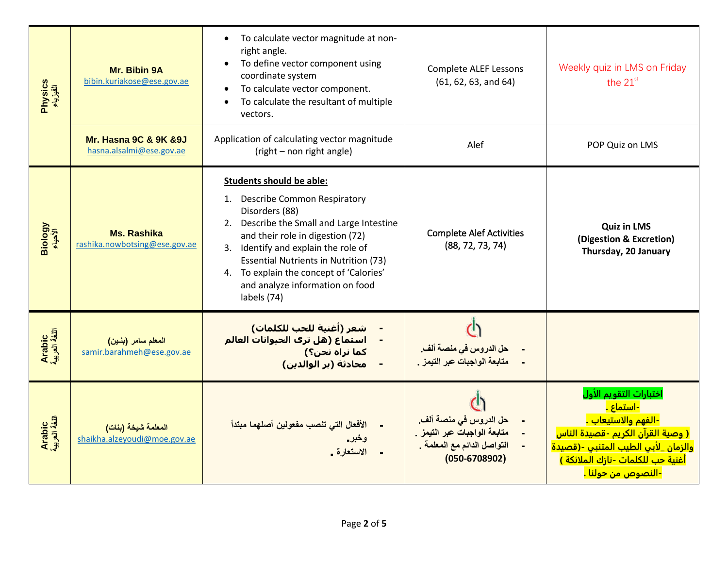| Physics<br>الفیزیاء     | Mr. Bibin 9A<br>bibin.kuriakose@ese.gov.ae                        | To calculate vector magnitude at non-<br>$\bullet$<br>right angle.<br>To define vector component using<br>coordinate system<br>To calculate vector component.<br>To calculate the resultant of multiple<br>vectors.                                                                                                                                            | <b>Complete ALEF Lessons</b><br>(61, 62, 63, and 64)                                                       | Weekly quiz in LMS on Friday<br>the 21st                                                                                                                                                                                                                           |
|-------------------------|-------------------------------------------------------------------|----------------------------------------------------------------------------------------------------------------------------------------------------------------------------------------------------------------------------------------------------------------------------------------------------------------------------------------------------------------|------------------------------------------------------------------------------------------------------------|--------------------------------------------------------------------------------------------------------------------------------------------------------------------------------------------------------------------------------------------------------------------|
|                         | <b>Mr. Hasna 9C &amp; 9K &amp; 9J</b><br>hasna.alsalmi@ese.gov.ae | Application of calculating vector magnitude<br>(right - non right angle)                                                                                                                                                                                                                                                                                       | Alef                                                                                                       | POP Quiz on LMS                                                                                                                                                                                                                                                    |
| Biology<br>الأخياء      | <b>Ms. Rashika</b><br>rashika.nowbotsing@ese.gov.ae               | <b>Students should be able:</b><br>1. Describe Common Respiratory<br>Disorders (88)<br>Describe the Small and Large Intestine<br>2.<br>and their role in digestion (72)<br>Identify and explain the role of<br>3.<br><b>Essential Nutrients in Nutrition (73)</b><br>4. To explain the concept of 'Calories'<br>and analyze information on food<br>labels (74) | <b>Complete Alef Activities</b><br>(88, 72, 73, 74)                                                        | <b>Quiz in LMS</b><br>(Digestion & Excretion)<br>Thursday, 20 January                                                                                                                                                                                              |
| Arabic<br>اللغة العربية | المعلم سامر (بنين)<br>samir.barahmeh@ese.gov.ae                   | شعر (أغنية للحب للكلمات)<br>استماع (هل تري الحيوانات العالم<br>كما نراه نحن؟)<br>محادثة (بر الوالدين)                                                                                                                                                                                                                                                          | حل الدروس في منصة ألف.<br>متابعة الواجبات عبر التيمز .                                                     |                                                                                                                                                                                                                                                                    |
| Arabic<br>اللغة العربية | المعلمة شيخة (بنات)<br>shaikha.alzeyoudi@moe.gov.ae               | الأفعال التي تنصب مفعولين أصلهما مبتدأ<br>وخبر.<br>الاستعارة .                                                                                                                                                                                                                                                                                                 | حل الدروس في منصة ألف.<br>متابعة الواجبات عبر التيمز .<br>التواصل الدائم مع المعلمة .<br>$(050 - 6708902)$ | اختبارات التقويم الأول<br><mark>-استماع .</mark><br><mark>-الفهم والاستيعاب .</mark><br><mark>( وصية القرآن الكريم -قصيدة الناس</mark><br>والزمان _لأبي الطيب المتنبي -(قصيدة<br><mark>أغنية حب للكلمات -نازك الملائكة )</mark><br><mark>-النصوص من حولنا .</mark> |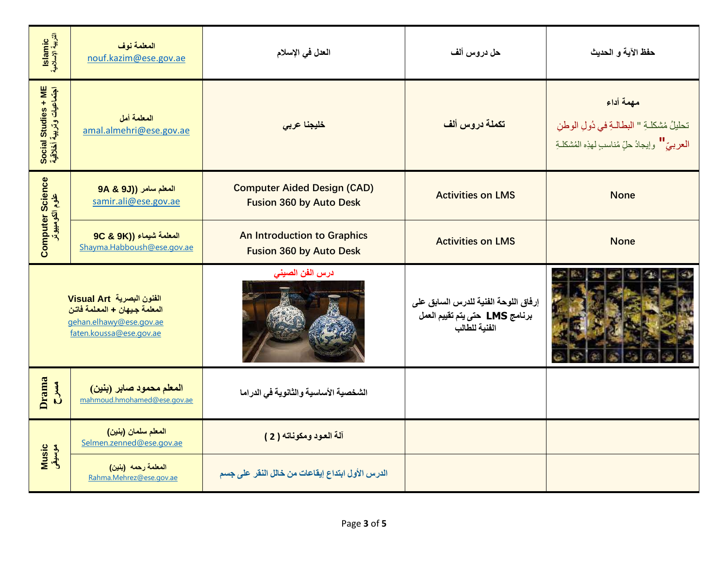| Islamic<br>التربية الإسلامية                    | المعلمة نوف<br>nouf.kazim@ese.gov.ae                                                                            | العدل في الإسلام                                                     | حل دروس ألف                                                                             | حفظ الآية و الحديث                                                                                        |
|-------------------------------------------------|-----------------------------------------------------------------------------------------------------------------|----------------------------------------------------------------------|-----------------------------------------------------------------------------------------|-----------------------------------------------------------------------------------------------------------|
| Social Studies + ME<br>اجتماعیات وتربیة أخلاقیة | المعلمة أمل<br>amal.almehri@ese.gov.ae                                                                          | خليجنا عربي                                                          | تكملة دروس ألف                                                                          | مهمة أداء<br>تحليلُ مُشكلةِ " البطالةِ في دُولِ الوطنِ<br>العربيّ " وإيجادُ حلٍّ مُناسبٍ لهذِه المُشكلـةِ |
| <b>Computer Science</b><br>علوم الكومبيوتر      | المعلم سامر ((9J 9A & 9J<br>samir.ali@ese.gov.ae                                                                | <b>Computer Aided Design (CAD)</b><br><b>Fusion 360 by Auto Desk</b> | <b>Activities on LMS</b>                                                                | <b>None</b>                                                                                               |
|                                                 | 9C & 9K)) المعلمة شيماء<br>Shayma.Habboush@ese.gov.ae                                                           | <b>An Introduction to Graphics</b><br><b>Fusion 360 by Auto Desk</b> | <b>Activities on LMS</b>                                                                | <b>None</b>                                                                                               |
|                                                 | الفنون البصرية Visual Art<br>المعلمة جيهان + المعلمة فاتن<br>gehan.elhawy@ese.gov.ae<br>faten.koussa@ese.gov.ae | درس الفن الصينى                                                      | إرفاق اللوحة الفنية للدرس السابق على<br>برنامج LMS حتى يتم تقييم العمل<br>الفنية للطالب |                                                                                                           |
| Drama<br>$rac{4}{5}$                            | المعلم محمود صابر (بنين)<br>mahmoud.hmohamed@ese.gov.ae                                                         | الشخصية الأساسية والثانوية في الدراما                                |                                                                                         |                                                                                                           |
| <b>Music</b><br>موسيقى                          | المعلم سلمان (بنين)<br>Selmen.zenned@ese.gov.ae                                                                 | آلة العود ومكوناته ( 2 )                                             |                                                                                         |                                                                                                           |
|                                                 | المعلمة رحمه (بنين)<br>Rahma.Mehrez@ese.gov.ae                                                                  | الدرس الأول ابتداع إيقاعات من خالل النقر على جسم                     |                                                                                         |                                                                                                           |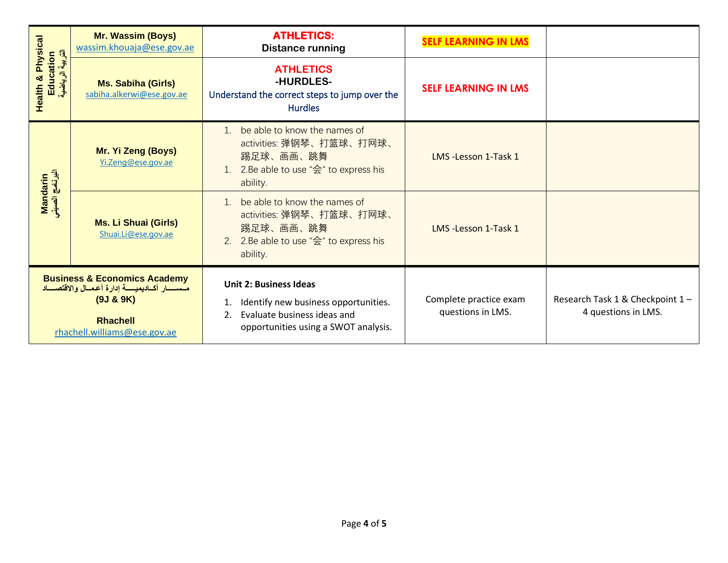| <b>Health &amp; Physical</b><br>أَنْكُمْ إِسْتَابِهِ إِسْتَابِهِ إِسْتَابِهِ لِسَوْرِ إِسْتَابِهِ إِسْتَابِقِيَاتِهِ وَالْبَائِسِيْ<br>Education      | <b>Mr. Wassim (Boys)</b><br>wassim.khouaja@ese.gov.ae  | <b>ATHLETICS:</b><br><b>Distance running</b>                                                                                                       | <b>SELF LEARNING IN LMS</b>                 |                                                        |
|-------------------------------------------------------------------------------------------------------------------------------------------------------|--------------------------------------------------------|----------------------------------------------------------------------------------------------------------------------------------------------------|---------------------------------------------|--------------------------------------------------------|
|                                                                                                                                                       | <b>Ms. Sabiha (Girls)</b><br>sabiha.alkerwi@ese.gov.ae | <b>ATHLETICS</b><br>-HURDLES-<br>Understand the correct steps to jump over the<br><b>Hurdles</b>                                                   | <b>SELF LEARNING IN LMS</b>                 |                                                        |
| Mandarin<br>البرنامج الصيني                                                                                                                           | Mr. Yi Zeng (Boys)<br>Yi.Zeng@ese.gov.ae               | be able to know the names of<br>$\mathbf{1}$<br>activities: 弹钢琴、打篮球、打网球、<br>踢足球、画画、跳舞<br>2.Be able to use "会" to express his<br>ability.           | LMS-Lesson 1-Task 1                         |                                                        |
|                                                                                                                                                       | <b>Ms. Li Shuai (Girls)</b><br>Shuai.Li@ese.gov.ae     | be able to know the names of<br>activities: 弹钢琴、打篮球、打网球、<br>踢足球、画画、跳舞<br>2.Be able to use "会" to express his<br>ability.                           | LMS-Lesson 1-Task 1                         |                                                        |
| <b>Business &amp; Economics Academy</b><br>مسسسار أكساديميسسة إدارة أعمسال والاقتصساد<br>(9J & 9K)<br><b>Rhachell</b><br>rhachell.williams@ese.gov.ae |                                                        | <b>Unit 2: Business Ideas</b><br>Identify new business opportunities.<br>Evaluate business ideas and<br>2.<br>opportunities using a SWOT analysis. | Complete practice exam<br>questions in LMS. | Research Task 1 & Checkpoint 1-<br>4 questions in LMS. |